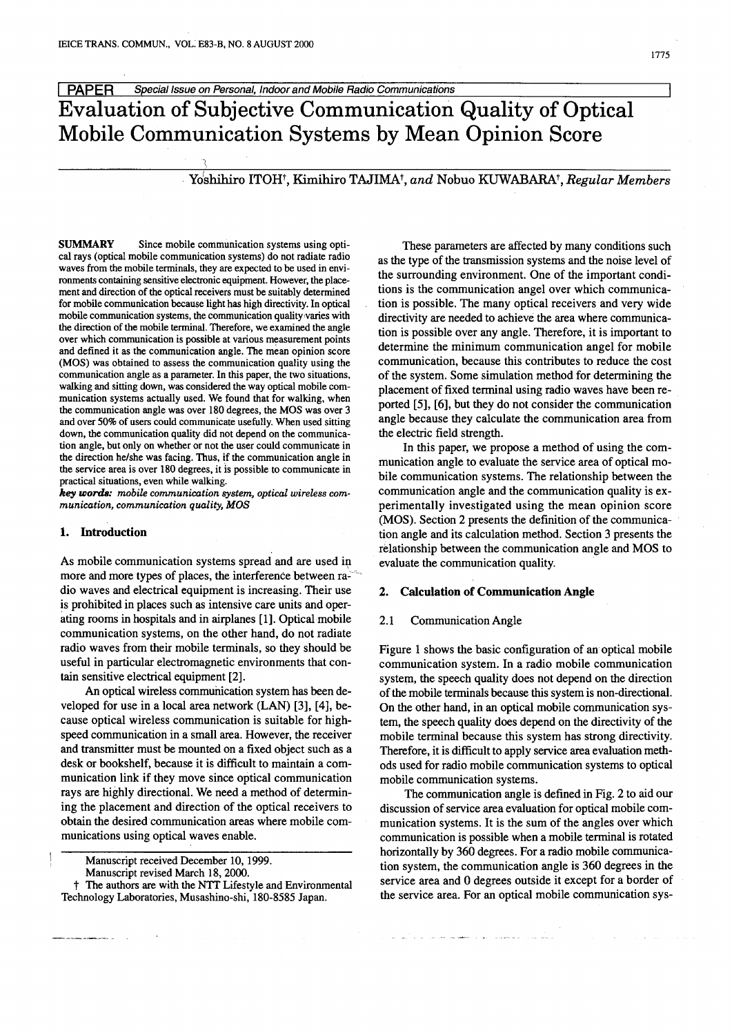ydshihiro ITOHt, Kimihiro TAJIMAt, *and* Nobuo KUWABARAt,*Regular Members*

**SUMMARY** Since mobile communication systems using optical rays (optical mobile communication systems) do not radiate radio waves from the mobile terminals, they are expected to be used in environments containing sensitive electronic equipment. However, the placement and direction of the optical receivers must be suitably determined for mobile communication because light has high directivity. In optical mobile communication systems, the communication quality varies with the direction of the mobile terminal. Therefore, we examined the angle over which communication is possible at various measurement points and defined it as the communication angle. The mean opinion score (MOS) was obtained to assess the communication quality using the communication angle as a parameter. In this paper, the two situations, walking and sitting down, was considered the way optical mobile communication systems actually used. We found that for walking, when the communication angle was over 180 degrees, the MOS was over 3 and over 50% of users could communicate usefully. When used sitting down, the communication quality did not depend on the communication angle, but only on whether or not the user could communicate in the direction he/she was facing. Thus, if the communication angle in the service area is over 180 degrees, it is possible to communicate in practical situations, even while walking.

*key words: mobile communication system, optical wireless communication, communication quality, MOS*

### 1. Introduction

As mobile communication systems spread and are used in more and more types of places, the interference between radio waves and electrical equipment is increasing. Their use is prohibited in places such as intensive care units and operating rooms in hospitals and in airplanes [1]. Optical mobile communication systems, on the other hand, do not radiate radio waves from their mobile terminals, so they should be useful in particular electromagnetic environments that contain sensitive electrical equipment [2].

An optical wireless communication system has been developed for use in a local area network (LAN) [3], [4], because optical wireless communication is suitable for highspeed communication in a small area. However, the receiver and transmitter must be mounted on a fixed object such as a desk or bookshelf, because it is difficult to maintain a communication link if they move since optical communication rays are highly directional. We need a method of determining the placement and direction of the optical receivers to obtain the desired communication areas where mobile communications using optical waves enable.

These parameters are affected by many conditions such as the type of the transmission systems and the noise level of the surrounding environment. One of the important conditions is the communication angel over which communication is possible. The many optical receivers and very wide directivity are needed to achieve the area where communication is possible over any angle. Therefore, it is important to determine the minimum communication angel for mobile communication, because this contributes to reduce the cost of the system. Some simulation method for determining the placement of fixed terminal using radio waves have been reported [5], [6], but they do not consider the communication angle because they calculate the communication area from the electric field strength.

In this paper, we propose a method of using the communication angle to evaluate the service area of optical mobile communication systems. The relationship between the communication angle and the communication quality is experimentally investigated using the mean opinion score (MOS). Section 2 presents the definition of the communication angle and its calculation method. Section 3 presents the relationship between the communication angle and MOS to evaluate the communication quality.

# 2. Calculation of Communication Angle

#### 2.1 Communication Angle

Figure 1 shows the basic configuration of an optical mobile communication system. In a radio mobile communication system, the speech quality does not depend on the direction of the mobile terminals because this system is non-directional. On the other hand, in an optical mobile communication system, the speech quality does depend on the directivity of the mobile terminal because this system has strong directivity. Therefore, it is difficult to apply service area evaluation methods used for radio mobile communication systems to optical mobile communication systems.

The communication angle is defined in Fig. 2 to aid our discussion of service area evaluation for optical mobile communication systems. It is the sum of the angles over which communication is possible when a mobile terminal is rotated horizontally by 360 degrees. For a radio mobile communication system, the communication angle is 360 degrees in the service area and 0 degrees outside it except for a border of the service area. For an optical mobile communication sys-

and the commentary of the commentary

Manuscript received December 10,1999.

Manuscript revised March 18, 2000.

The authors are with the NTT Lifestyle and Environmental Technology Laboratories, Musashino-shi, 180-8585 Japan.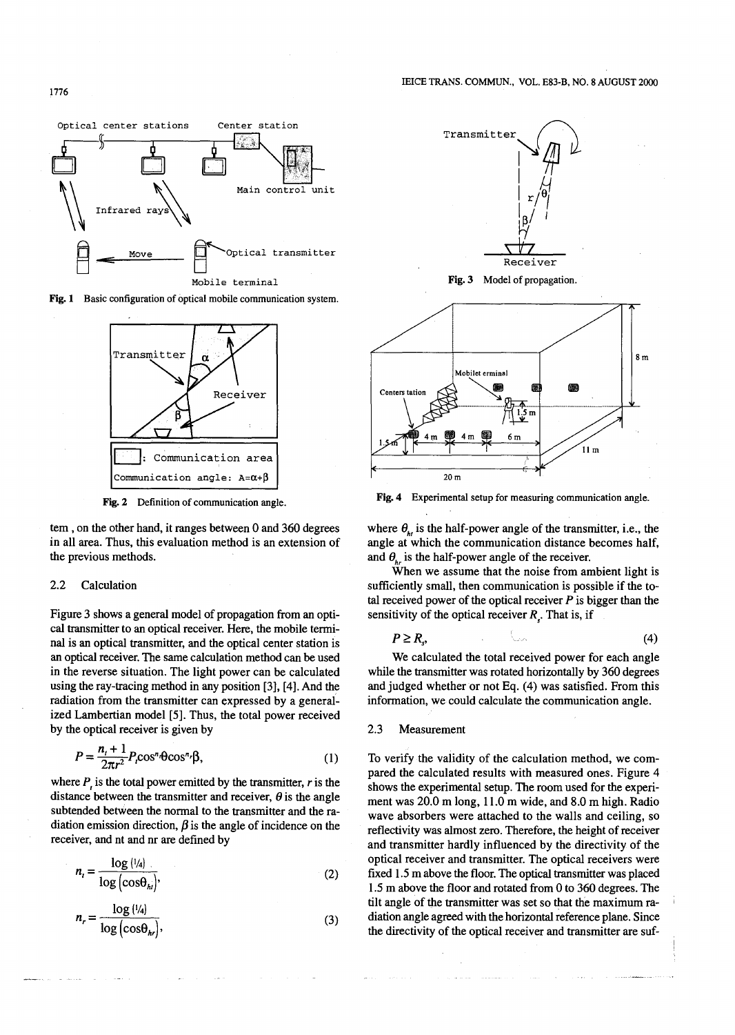

Fig. 1 Basic configuration of optical mobile communication system.



Fig. 2 Definition of communication angle.

tern, on the other hand, it ranges between 0 and 360 degrees in all area. Thus, this evaluation method is an extension of the previous methods.

#### 2.2 Calculation

Figure 3 shows a general model of propagation from an optical transmitter to an optical receiver. Here, the mobile terminal is an optical transmitter, and the optical center station is an optical receiver. The same calculation method can be used in the reverse situation. The light power can be calculated using the ray-tracing method in any position [3], [4]. And the radiation from the transmitter can expressed by a generalized Lambertian model [5]. Thus, the total power received by the optical receiver is given by

$$
P = \frac{n_t + 1}{2\pi r^2} P_r \cos^n \theta \cos^n \beta,
$$
 (1)

where  $P_i$  is the total power emitted by the transmitter,  $r$  is the distance between the transmitter and receiver,  $\theta$  is the angle subtended between the normal to the transmitter and the radiation emission direction,  $\beta$  is the angle of incidence on the receiver, and nt and nr are defined by

$$
n_{t} = \frac{\log \left(\frac{1}{4}\right)}{\log \left(\cos \theta_{hi}\right)},\tag{2}
$$

$$
n_r = \frac{\log (1/4)}{\log (\cos \theta_{hr})},\tag{3}
$$



Fig. 3 Model of propagation.



Fig. 4 Experimental setup for measuring communication angle.

where  $\theta_{i}$  is the half-power angle of the transmitter, i.e., the angle at which the communication distance becomes half, and  $\theta_{\mu}$  is the half-power angle of the receiver.

When we assume that the noise from ambient light is sufficiently small, then communication is possible if the total received power of the optical receiver *P* is bigger than the sensitivity of the optical receiver *R,* That is, if

$$
P \ge R_{s'} \tag{4}
$$

We calculated the total received power for each angle while the transmitter was rotated horizontally by 360 degrees and judged whether or not Eq. (4) was satisfied. From this information, we could calculate the communication angle.

## 2.3 Measurement

To verify the validity of the calculation method, we compared the calculated results with measured ones. Figure 4 shows the experimental setup. The room used for the experiment was 20.0 m long, 11.0 m wide, and 8.0 m high. Radio wave absorbers were attached to the walls and ceiling, so reflectivity was almost zero. Therefore, the height of receiver and transmitter hardly influenced by the directivity of the optical receiver and transmitter. The optical receivers were fixed 1.5 m above the floor. The optical transmitter was placed 1.5 m above the floor and rotated from 0 to 360 degrees. The tilt angle of the transmitter was set so that the maximum radiation angle agreed with the horizontal reference plane. Since the directivity of the optical receiver and transmitter are suf-

1776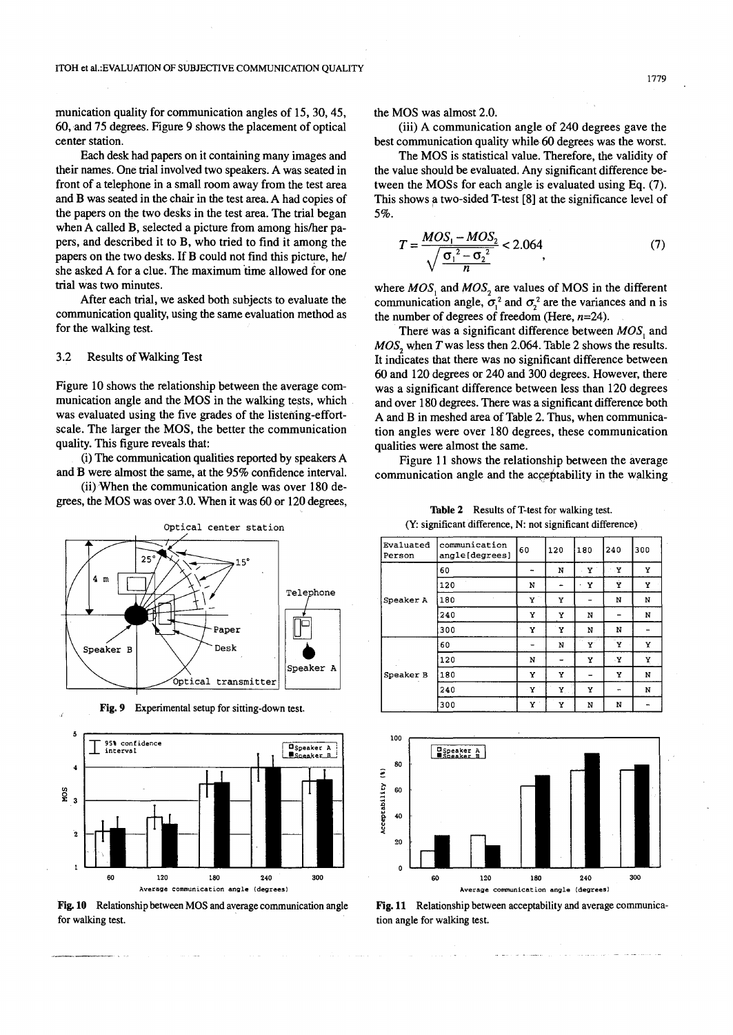munication quality for communication angles of 15, 30, 45, 60,and 75 degrees. Figure 9 shows the placement of optical center station.

Each desk had papers on it containing many images and their names. One trial involved two speakers. A was seated in front of a telephone in a small room away from the test area and B was seated in the chair in the test area. A had copies of the papers on the two desks in the test area. The trial began when A called B, selected a picture from among his/her papers, and described it to B, who tried to find it among the papers on the two desks. If B could not find this picture, *he*/ she asked A for a clue. The maximum time allowed for one trial was two minutes.

After each trial, we asked both subjects to evaluate the communication quality, using the same evaluation method as for the walking test.

## 3.2 Results of Walking Test

Figure 10 shows the relationship between the average communication angle and the MOS in the walking tests, which was evaluated using the five grades of the listening-effortscale. The larger the MOS, the better the communication quality. This figure reveals that:

(i) The communication qualities reported by speakers A and B were almost the same, at the 95% confidence interval.

(iijWhen the communication angle was over 180 degrees, the MOS was over 3.0. When it was 60 or 120 degrees,



Fig. 9 Experimental setup for sitting-down test.



Fig. 10 Relationship between MOS and average communication angle for walking test.

the MOS was almost 2.0.

(iii) A communication angle of 240 degrees gave the best communication quality while 60 degrees was the worst.

The MOS is statistical value. Therefore, the validity of the value should be evaluated. Any significant difference between the MOSs for each angle is evaluated using Eq. (7). This shows a two-sided T-test [8] at the significance level of 5%.

$$
T = \frac{MOS_1 - MOS_2}{\sqrt{\frac{G_1^2 - G_2^2}{n}}} < 2.064
$$
\n(7)

where  $MOS_1$  and  $MOS_2$  are values of MOS in the different communication angle,  $\sigma_1^2$  and  $\sigma_2^2$  are the variances and n is the number of degrees of freedom (Here,  $n=24$ ).

There was a significant difference between *MOS*, and *MOS*<sub>2</sub> when *T* was less then 2.064. Table 2 shows the results. It indicates that there was no significant difference between 60 and 120 degrees or 240 and 300 degrees. However, there was a significant difference between less than 120 degrees and over 180 degrees. There was a significant difference both A and B in meshed area of Table 2. Thus, when communication angles were over 180 degrees, these communication qualities were almost the same.

Figure 11 shows the relationship between the average communication angle and the acceptability in the walking

Table 2 Results of T-test for walking test. (Y: significant difference, N: not significant difference)

| Evaluated<br>Person | communication<br>angle[degrees] | 60                 | 120                | 180 | 240 | 300 |
|---------------------|---------------------------------|--------------------|--------------------|-----|-----|-----|
| Speaker A           | 60                              | ۰.                 | N                  | Y.  | Y   | Y   |
|                     | 120                             | N                  | $\overline{ }$     | х   | Ý   | Y   |
|                     | 180                             | $\mathbf{Y}^{(n)}$ | Y                  |     | N   | N   |
|                     | 240                             | Y                  | Y                  | N   |     | N   |
|                     | 300                             | Y                  | Y                  | N   | N   |     |
| Speaker B           | 60                              |                    | N                  | ¥.  | Ý   | Y   |
|                     | 120                             | N                  |                    | Y   | ۰Y  | Υ   |
|                     | 180                             | Y                  | Y                  |     | Y   | N   |
|                     | 240                             | ΞY.                | $\mathbf{Y}_\perp$ | Y   | ٠   | N   |
|                     | 300                             | Y                  | Y                  | N   | N   |     |